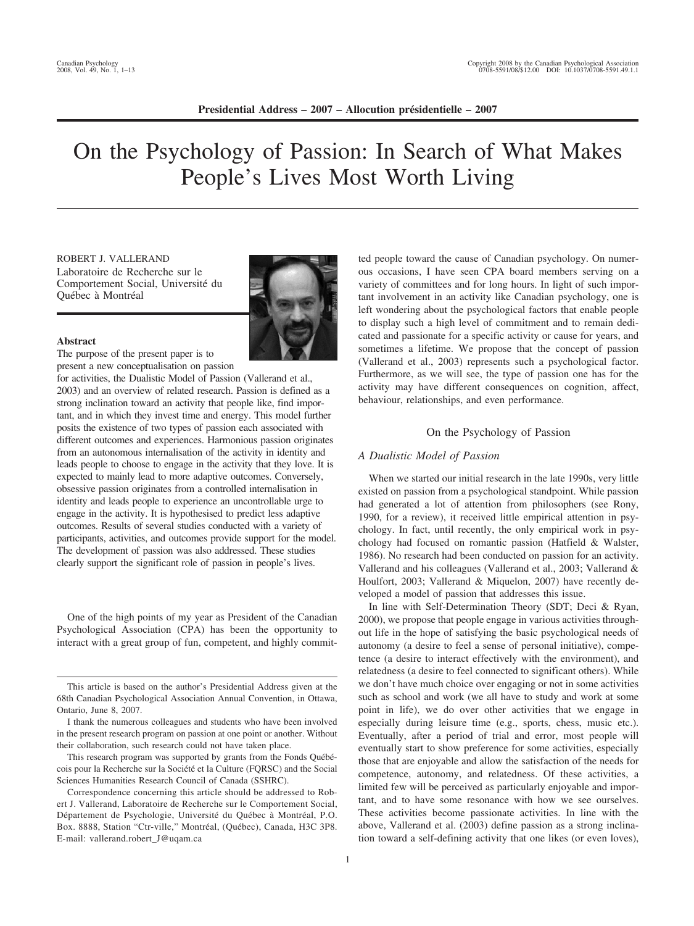## Presidential Address - 2007 - Allocution présidentielle - 2007

# On the Psychology of Passion: In Search of What Makes People's Lives Most Worth Living

ROBERT J. VALLERAND Laboratoire de Recherche sur le Comportement Social, Université du Québec à Montréal



#### **Abstract**

The purpose of the present paper is to present a new conceptualisation on passion

for activities, the Dualistic Model of Passion (Vallerand et al., 2003) and an overview of related research. Passion is defined as a strong inclination toward an activity that people like, find important, and in which they invest time and energy. This model further posits the existence of two types of passion each associated with different outcomes and experiences. Harmonious passion originates from an autonomous internalisation of the activity in identity and leads people to choose to engage in the activity that they love. It is expected to mainly lead to more adaptive outcomes. Conversely, obsessive passion originates from a controlled internalisation in identity and leads people to experience an uncontrollable urge to engage in the activity. It is hypothesised to predict less adaptive outcomes. Results of several studies conducted with a variety of participants, activities, and outcomes provide support for the model. The development of passion was also addressed. These studies clearly support the significant role of passion in people's lives.

One of the high points of my year as President of the Canadian Psychological Association (CPA) has been the opportunity to interact with a great group of fun, competent, and highly commit-

This research program was supported by grants from the Fonds Québécois pour la Recherche sur la Société et la Culture (FQRSC) and the Social Sciences Humanities Research Council of Canada (SSHRC).

Correspondence concerning this article should be addressed to Robert J. Vallerand, Laboratoire de Recherche sur le Comportement Social, Département de Psychologie, Université du Québec à Montréal, P.O. Box. 8888, Station "Ctr-ville," Montréal, (Québec), Canada, H3C 3P8. E-mail: vallerand.robert\_J@uqam.ca

ted people toward the cause of Canadian psychology. On numerous occasions, I have seen CPA board members serving on a variety of committees and for long hours. In light of such important involvement in an activity like Canadian psychology, one is left wondering about the psychological factors that enable people to display such a high level of commitment and to remain dedicated and passionate for a specific activity or cause for years, and sometimes a lifetime. We propose that the concept of passion (Vallerand et al., 2003) represents such a psychological factor. Furthermore, as we will see, the type of passion one has for the activity may have different consequences on cognition, affect, behaviour, relationships, and even performance.

## On the Psychology of Passion

## *A Dualistic Model of Passion*

When we started our initial research in the late 1990s, very little existed on passion from a psychological standpoint. While passion had generated a lot of attention from philosophers (see Rony, 1990, for a review), it received little empirical attention in psychology. In fact, until recently, the only empirical work in psychology had focused on romantic passion (Hatfield & Walster, 1986). No research had been conducted on passion for an activity. Vallerand and his colleagues (Vallerand et al., 2003; Vallerand & Houlfort, 2003; Vallerand & Miquelon, 2007) have recently developed a model of passion that addresses this issue.

In line with Self-Determination Theory (SDT; Deci & Ryan, 2000), we propose that people engage in various activities throughout life in the hope of satisfying the basic psychological needs of autonomy (a desire to feel a sense of personal initiative), competence (a desire to interact effectively with the environment), and relatedness (a desire to feel connected to significant others). While we don't have much choice over engaging or not in some activities such as school and work (we all have to study and work at some point in life), we do over other activities that we engage in especially during leisure time (e.g., sports, chess, music etc.). Eventually, after a period of trial and error, most people will eventually start to show preference for some activities, especially those that are enjoyable and allow the satisfaction of the needs for competence, autonomy, and relatedness. Of these activities, a limited few will be perceived as particularly enjoyable and important, and to have some resonance with how we see ourselves. These activities become passionate activities. In line with the above, Vallerand et al. (2003) define passion as a strong inclination toward a self-defining activity that one likes (or even loves),

This article is based on the author's Presidential Address given at the 68th Canadian Psychological Association Annual Convention, in Ottawa, Ontario, June 8, 2007.

I thank the numerous colleagues and students who have been involved in the present research program on passion at one point or another. Without their collaboration, such research could not have taken place.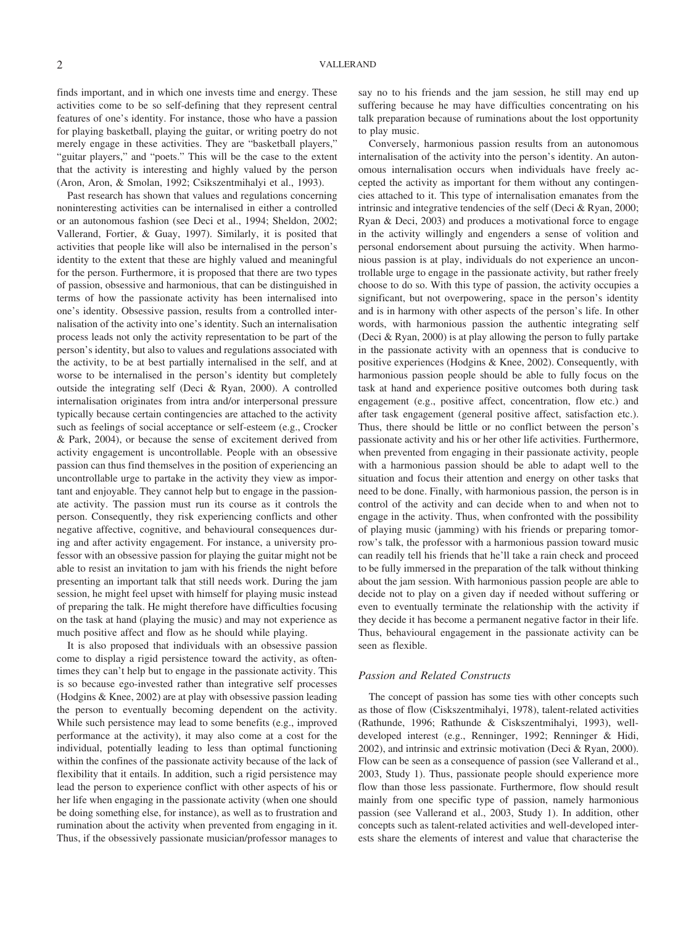finds important, and in which one invests time and energy. These activities come to be so self-defining that they represent central features of one's identity. For instance, those who have a passion for playing basketball, playing the guitar, or writing poetry do not merely engage in these activities. They are "basketball players," "guitar players," and "poets." This will be the case to the extent that the activity is interesting and highly valued by the person (Aron, Aron, & Smolan, 1992; Csikszentmihalyi et al., 1993).

Past research has shown that values and regulations concerning noninteresting activities can be internalised in either a controlled or an autonomous fashion (see Deci et al., 1994; Sheldon, 2002; Vallerand, Fortier, & Guay, 1997). Similarly, it is posited that activities that people like will also be internalised in the person's identity to the extent that these are highly valued and meaningful for the person. Furthermore, it is proposed that there are two types of passion, obsessive and harmonious, that can be distinguished in terms of how the passionate activity has been internalised into one's identity. Obsessive passion, results from a controlled internalisation of the activity into one's identity. Such an internalisation process leads not only the activity representation to be part of the person's identity, but also to values and regulations associated with the activity, to be at best partially internalised in the self, and at worse to be internalised in the person's identity but completely outside the integrating self (Deci & Ryan, 2000). A controlled internalisation originates from intra and/or interpersonal pressure typically because certain contingencies are attached to the activity such as feelings of social acceptance or self-esteem (e.g., Crocker & Park, 2004), or because the sense of excitement derived from activity engagement is uncontrollable. People with an obsessive passion can thus find themselves in the position of experiencing an uncontrollable urge to partake in the activity they view as important and enjoyable. They cannot help but to engage in the passionate activity. The passion must run its course as it controls the person. Consequently, they risk experiencing conflicts and other negative affective, cognitive, and behavioural consequences during and after activity engagement. For instance, a university professor with an obsessive passion for playing the guitar might not be able to resist an invitation to jam with his friends the night before presenting an important talk that still needs work. During the jam session, he might feel upset with himself for playing music instead of preparing the talk. He might therefore have difficulties focusing on the task at hand (playing the music) and may not experience as much positive affect and flow as he should while playing.

It is also proposed that individuals with an obsessive passion come to display a rigid persistence toward the activity, as oftentimes they can't help but to engage in the passionate activity. This is so because ego-invested rather than integrative self processes (Hodgins & Knee, 2002) are at play with obsessive passion leading the person to eventually becoming dependent on the activity. While such persistence may lead to some benefits (e.g., improved performance at the activity), it may also come at a cost for the individual, potentially leading to less than optimal functioning within the confines of the passionate activity because of the lack of flexibility that it entails. In addition, such a rigid persistence may lead the person to experience conflict with other aspects of his or her life when engaging in the passionate activity (when one should be doing something else, for instance), as well as to frustration and rumination about the activity when prevented from engaging in it. Thus, if the obsessively passionate musician/professor manages to say no to his friends and the jam session, he still may end up suffering because he may have difficulties concentrating on his talk preparation because of ruminations about the lost opportunity to play music.

Conversely, harmonious passion results from an autonomous internalisation of the activity into the person's identity. An autonomous internalisation occurs when individuals have freely accepted the activity as important for them without any contingencies attached to it. This type of internalisation emanates from the intrinsic and integrative tendencies of the self (Deci & Ryan, 2000; Ryan & Deci, 2003) and produces a motivational force to engage in the activity willingly and engenders a sense of volition and personal endorsement about pursuing the activity. When harmonious passion is at play, individuals do not experience an uncontrollable urge to engage in the passionate activity, but rather freely choose to do so. With this type of passion, the activity occupies a significant, but not overpowering, space in the person's identity and is in harmony with other aspects of the person's life. In other words, with harmonious passion the authentic integrating self (Deci & Ryan, 2000) is at play allowing the person to fully partake in the passionate activity with an openness that is conducive to positive experiences (Hodgins & Knee, 2002). Consequently, with harmonious passion people should be able to fully focus on the task at hand and experience positive outcomes both during task engagement (e.g., positive affect, concentration, flow etc.) and after task engagement (general positive affect, satisfaction etc.). Thus, there should be little or no conflict between the person's passionate activity and his or her other life activities. Furthermore, when prevented from engaging in their passionate activity, people with a harmonious passion should be able to adapt well to the situation and focus their attention and energy on other tasks that need to be done. Finally, with harmonious passion, the person is in control of the activity and can decide when to and when not to engage in the activity. Thus, when confronted with the possibility of playing music (jamming) with his friends or preparing tomorrow's talk, the professor with a harmonious passion toward music can readily tell his friends that he'll take a rain check and proceed to be fully immersed in the preparation of the talk without thinking about the jam session. With harmonious passion people are able to decide not to play on a given day if needed without suffering or even to eventually terminate the relationship with the activity if they decide it has become a permanent negative factor in their life. Thus, behavioural engagement in the passionate activity can be seen as flexible.

#### *Passion and Related Constructs*

The concept of passion has some ties with other concepts such as those of flow (Ciskszentmihalyi, 1978), talent-related activities (Rathunde, 1996; Rathunde & Ciskszentmihalyi, 1993), welldeveloped interest (e.g., Renninger, 1992; Renninger & Hidi, 2002), and intrinsic and extrinsic motivation (Deci & Ryan, 2000). Flow can be seen as a consequence of passion (see Vallerand et al., 2003, Study 1). Thus, passionate people should experience more flow than those less passionate. Furthermore, flow should result mainly from one specific type of passion, namely harmonious passion (see Vallerand et al., 2003, Study 1). In addition, other concepts such as talent-related activities and well-developed interests share the elements of interest and value that characterise the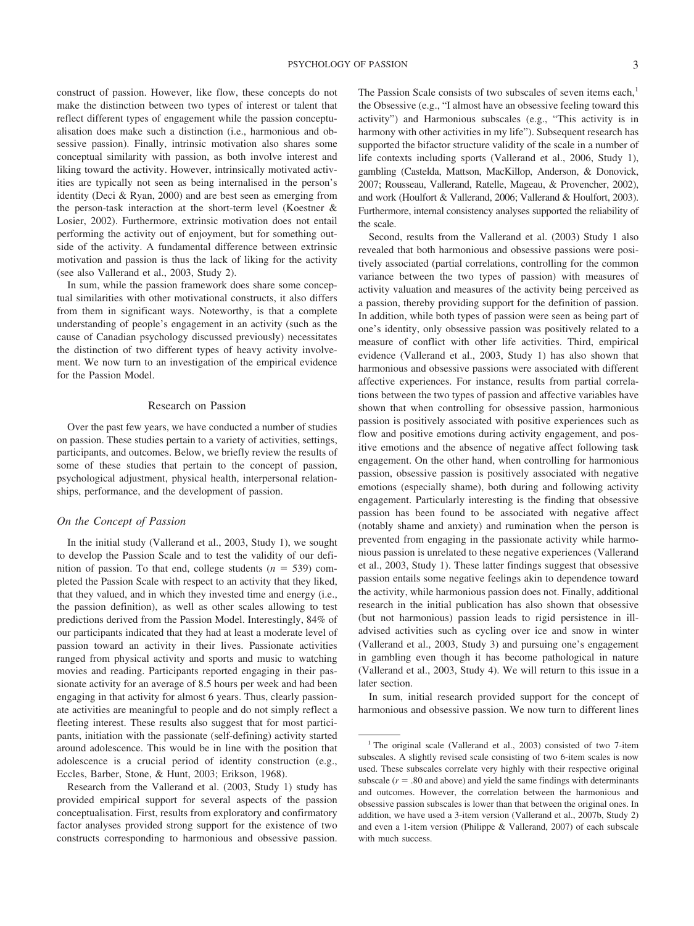construct of passion. However, like flow, these concepts do not make the distinction between two types of interest or talent that reflect different types of engagement while the passion conceptualisation does make such a distinction (i.e., harmonious and obsessive passion). Finally, intrinsic motivation also shares some conceptual similarity with passion, as both involve interest and liking toward the activity. However, intrinsically motivated activities are typically not seen as being internalised in the person's identity (Deci & Ryan, 2000) and are best seen as emerging from the person-task interaction at the short-term level (Koestner & Losier, 2002). Furthermore, extrinsic motivation does not entail performing the activity out of enjoyment, but for something outside of the activity. A fundamental difference between extrinsic motivation and passion is thus the lack of liking for the activity (see also Vallerand et al., 2003, Study 2).

In sum, while the passion framework does share some conceptual similarities with other motivational constructs, it also differs from them in significant ways. Noteworthy, is that a complete understanding of people's engagement in an activity (such as the cause of Canadian psychology discussed previously) necessitates the distinction of two different types of heavy activity involvement. We now turn to an investigation of the empirical evidence for the Passion Model.

## Research on Passion

Over the past few years, we have conducted a number of studies on passion. These studies pertain to a variety of activities, settings, participants, and outcomes. Below, we briefly review the results of some of these studies that pertain to the concept of passion, psychological adjustment, physical health, interpersonal relationships, performance, and the development of passion.

## *On the Concept of Passion*

In the initial study (Vallerand et al., 2003, Study 1), we sought to develop the Passion Scale and to test the validity of our definition of passion. To that end, college students  $(n = 539)$  completed the Passion Scale with respect to an activity that they liked, that they valued, and in which they invested time and energy (i.e., the passion definition), as well as other scales allowing to test predictions derived from the Passion Model. Interestingly, 84% of our participants indicated that they had at least a moderate level of passion toward an activity in their lives. Passionate activities ranged from physical activity and sports and music to watching movies and reading. Participants reported engaging in their passionate activity for an average of 8.5 hours per week and had been engaging in that activity for almost 6 years. Thus, clearly passionate activities are meaningful to people and do not simply reflect a fleeting interest. These results also suggest that for most participants, initiation with the passionate (self-defining) activity started around adolescence. This would be in line with the position that adolescence is a crucial period of identity construction (e.g., Eccles, Barber, Stone, & Hunt, 2003; Erikson, 1968).

Research from the Vallerand et al. (2003, Study 1) study has provided empirical support for several aspects of the passion conceptualisation. First, results from exploratory and confirmatory factor analyses provided strong support for the existence of two constructs corresponding to harmonious and obsessive passion. The Passion Scale consists of two subscales of seven items each,<sup>1</sup> the Obsessive (e.g., "I almost have an obsessive feeling toward this activity") and Harmonious subscales (e.g., "This activity is in harmony with other activities in my life"). Subsequent research has supported the bifactor structure validity of the scale in a number of life contexts including sports (Vallerand et al., 2006, Study 1), gambling (Castelda, Mattson, MacKillop, Anderson, & Donovick, 2007; Rousseau, Vallerand, Ratelle, Mageau, & Provencher, 2002), and work (Houlfort & Vallerand, 2006; Vallerand & Houlfort, 2003). Furthermore, internal consistency analyses supported the reliability of the scale.

Second, results from the Vallerand et al. (2003) Study 1 also revealed that both harmonious and obsessive passions were positively associated (partial correlations, controlling for the common variance between the two types of passion) with measures of activity valuation and measures of the activity being perceived as a passion, thereby providing support for the definition of passion. In addition, while both types of passion were seen as being part of one's identity, only obsessive passion was positively related to a measure of conflict with other life activities. Third, empirical evidence (Vallerand et al., 2003, Study 1) has also shown that harmonious and obsessive passions were associated with different affective experiences. For instance, results from partial correlations between the two types of passion and affective variables have shown that when controlling for obsessive passion, harmonious passion is positively associated with positive experiences such as flow and positive emotions during activity engagement, and positive emotions and the absence of negative affect following task engagement. On the other hand, when controlling for harmonious passion, obsessive passion is positively associated with negative emotions (especially shame), both during and following activity engagement. Particularly interesting is the finding that obsessive passion has been found to be associated with negative affect (notably shame and anxiety) and rumination when the person is prevented from engaging in the passionate activity while harmonious passion is unrelated to these negative experiences (Vallerand et al., 2003, Study 1). These latter findings suggest that obsessive passion entails some negative feelings akin to dependence toward the activity, while harmonious passion does not. Finally, additional research in the initial publication has also shown that obsessive (but not harmonious) passion leads to rigid persistence in illadvised activities such as cycling over ice and snow in winter (Vallerand et al., 2003, Study 3) and pursuing one's engagement in gambling even though it has become pathological in nature (Vallerand et al., 2003, Study 4). We will return to this issue in a later section.

In sum, initial research provided support for the concept of harmonious and obsessive passion. We now turn to different lines

<sup>&</sup>lt;sup>1</sup> The original scale (Vallerand et al., 2003) consisted of two 7-item subscales. A slightly revised scale consisting of two 6-item scales is now used. These subscales correlate very highly with their respective original subscale  $(r = .80$  and above) and yield the same findings with determinants and outcomes. However, the correlation between the harmonious and obsessive passion subscales is lower than that between the original ones. In addition, we have used a 3-item version (Vallerand et al., 2007b, Study 2) and even a 1-item version (Philippe & Vallerand, 2007) of each subscale with much success.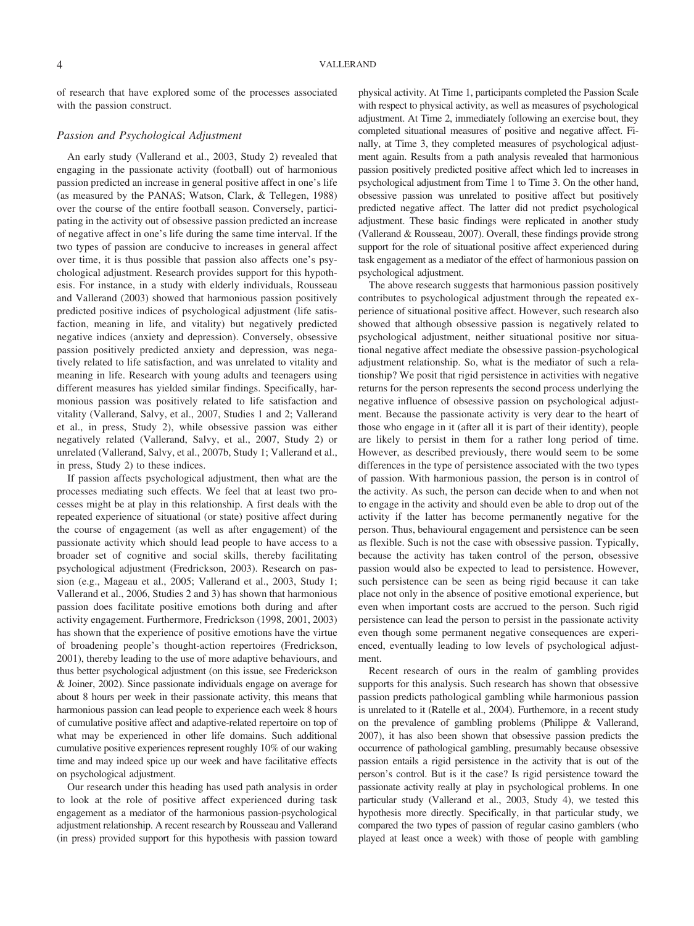of research that have explored some of the processes associated with the passion construct.

## *Passion and Psychological Adjustment*

An early study (Vallerand et al., 2003, Study 2) revealed that engaging in the passionate activity (football) out of harmonious passion predicted an increase in general positive affect in one's life (as measured by the PANAS; Watson, Clark, & Tellegen, 1988) over the course of the entire football season. Conversely, participating in the activity out of obsessive passion predicted an increase of negative affect in one's life during the same time interval. If the two types of passion are conducive to increases in general affect over time, it is thus possible that passion also affects one's psychological adjustment. Research provides support for this hypothesis. For instance, in a study with elderly individuals, Rousseau and Vallerand (2003) showed that harmonious passion positively predicted positive indices of psychological adjustment (life satisfaction, meaning in life, and vitality) but negatively predicted negative indices (anxiety and depression). Conversely, obsessive passion positively predicted anxiety and depression, was negatively related to life satisfaction, and was unrelated to vitality and meaning in life. Research with young adults and teenagers using different measures has yielded similar findings. Specifically, harmonious passion was positively related to life satisfaction and vitality (Vallerand, Salvy, et al., 2007, Studies 1 and 2; Vallerand et al., in press, Study 2), while obsessive passion was either negatively related (Vallerand, Salvy, et al., 2007, Study 2) or unrelated (Vallerand, Salvy, et al., 2007b, Study 1; Vallerand et al., in press, Study 2) to these indices.

If passion affects psychological adjustment, then what are the processes mediating such effects. We feel that at least two processes might be at play in this relationship. A first deals with the repeated experience of situational (or state) positive affect during the course of engagement (as well as after engagement) of the passionate activity which should lead people to have access to a broader set of cognitive and social skills, thereby facilitating psychological adjustment (Fredrickson, 2003). Research on passion (e.g., Mageau et al., 2005; Vallerand et al., 2003, Study 1; Vallerand et al., 2006, Studies 2 and 3) has shown that harmonious passion does facilitate positive emotions both during and after activity engagement. Furthermore, Fredrickson (1998, 2001, 2003) has shown that the experience of positive emotions have the virtue of broadening people's thought-action repertoires (Fredrickson, 2001), thereby leading to the use of more adaptive behaviours, and thus better psychological adjustment (on this issue, see Frederickson & Joiner, 2002). Since passionate individuals engage on average for about 8 hours per week in their passionate activity, this means that harmonious passion can lead people to experience each week 8 hours of cumulative positive affect and adaptive-related repertoire on top of what may be experienced in other life domains. Such additional cumulative positive experiences represent roughly 10% of our waking time and may indeed spice up our week and have facilitative effects on psychological adjustment.

Our research under this heading has used path analysis in order to look at the role of positive affect experienced during task engagement as a mediator of the harmonious passion-psychological adjustment relationship. A recent research by Rousseau and Vallerand (in press) provided support for this hypothesis with passion toward physical activity. At Time 1, participants completed the Passion Scale with respect to physical activity, as well as measures of psychological adjustment. At Time 2, immediately following an exercise bout, they completed situational measures of positive and negative affect. Finally, at Time 3, they completed measures of psychological adjustment again. Results from a path analysis revealed that harmonious passion positively predicted positive affect which led to increases in psychological adjustment from Time 1 to Time 3. On the other hand, obsessive passion was unrelated to positive affect but positively predicted negative affect. The latter did not predict psychological adjustment. These basic findings were replicated in another study (Vallerand & Rousseau, 2007). Overall, these findings provide strong support for the role of situational positive affect experienced during task engagement as a mediator of the effect of harmonious passion on psychological adjustment.

The above research suggests that harmonious passion positively contributes to psychological adjustment through the repeated experience of situational positive affect. However, such research also showed that although obsessive passion is negatively related to psychological adjustment, neither situational positive nor situational negative affect mediate the obsessive passion-psychological adjustment relationship. So, what is the mediator of such a relationship? We posit that rigid persistence in activities with negative returns for the person represents the second process underlying the negative influence of obsessive passion on psychological adjustment. Because the passionate activity is very dear to the heart of those who engage in it (after all it is part of their identity), people are likely to persist in them for a rather long period of time. However, as described previously, there would seem to be some differences in the type of persistence associated with the two types of passion. With harmonious passion, the person is in control of the activity. As such, the person can decide when to and when not to engage in the activity and should even be able to drop out of the activity if the latter has become permanently negative for the person. Thus, behavioural engagement and persistence can be seen as flexible. Such is not the case with obsessive passion. Typically, because the activity has taken control of the person, obsessive passion would also be expected to lead to persistence. However, such persistence can be seen as being rigid because it can take place not only in the absence of positive emotional experience, but even when important costs are accrued to the person. Such rigid persistence can lead the person to persist in the passionate activity even though some permanent negative consequences are experienced, eventually leading to low levels of psychological adjustment.

Recent research of ours in the realm of gambling provides supports for this analysis. Such research has shown that obsessive passion predicts pathological gambling while harmonious passion is unrelated to it (Ratelle et al., 2004). Furthemore, in a recent study on the prevalence of gambling problems (Philippe & Vallerand, 2007), it has also been shown that obsessive passion predicts the occurrence of pathological gambling, presumably because obsessive passion entails a rigid persistence in the activity that is out of the person's control. But is it the case? Is rigid persistence toward the passionate activity really at play in psychological problems. In one particular study (Vallerand et al., 2003, Study 4), we tested this hypothesis more directly. Specifically, in that particular study, we compared the two types of passion of regular casino gamblers (who played at least once a week) with those of people with gambling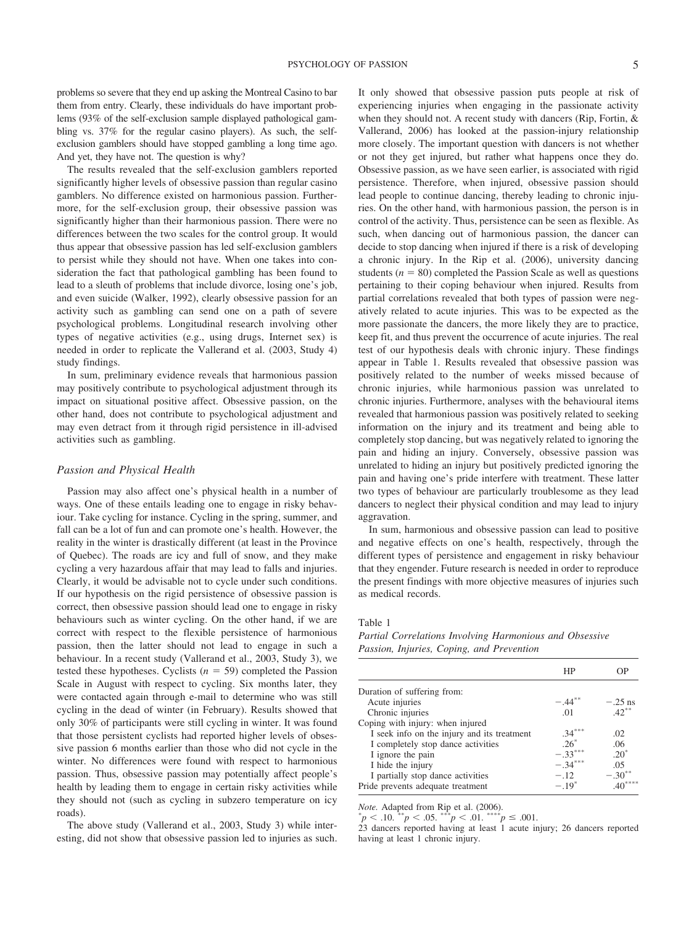problems so severe that they end up asking the Montreal Casino to bar them from entry. Clearly, these individuals do have important problems (93% of the self-exclusion sample displayed pathological gambling vs. 37% for the regular casino players). As such, the selfexclusion gamblers should have stopped gambling a long time ago. And yet, they have not. The question is why?

The results revealed that the self-exclusion gamblers reported significantly higher levels of obsessive passion than regular casino gamblers. No difference existed on harmonious passion. Furthermore, for the self-exclusion group, their obsessive passion was significantly higher than their harmonious passion. There were no differences between the two scales for the control group. It would thus appear that obsessive passion has led self-exclusion gamblers to persist while they should not have. When one takes into consideration the fact that pathological gambling has been found to lead to a sleuth of problems that include divorce, losing one's job, and even suicide (Walker, 1992), clearly obsessive passion for an activity such as gambling can send one on a path of severe psychological problems. Longitudinal research involving other types of negative activities (e.g., using drugs, Internet sex) is needed in order to replicate the Vallerand et al. (2003, Study 4) study findings.

In sum, preliminary evidence reveals that harmonious passion may positively contribute to psychological adjustment through its impact on situational positive affect. Obsessive passion, on the other hand, does not contribute to psychological adjustment and may even detract from it through rigid persistence in ill-advised activities such as gambling.

## *Passion and Physical Health*

Passion may also affect one's physical health in a number of ways. One of these entails leading one to engage in risky behaviour. Take cycling for instance. Cycling in the spring, summer, and fall can be a lot of fun and can promote one's health. However, the reality in the winter is drastically different (at least in the Province of Quebec). The roads are icy and full of snow, and they make cycling a very hazardous affair that may lead to falls and injuries. Clearly, it would be advisable not to cycle under such conditions. If our hypothesis on the rigid persistence of obsessive passion is correct, then obsessive passion should lead one to engage in risky behaviours such as winter cycling. On the other hand, if we are correct with respect to the flexible persistence of harmonious passion, then the latter should not lead to engage in such a behaviour. In a recent study (Vallerand et al., 2003, Study 3), we tested these hypotheses. Cyclists  $(n = 59)$  completed the Passion Scale in August with respect to cycling. Six months later, they were contacted again through e-mail to determine who was still cycling in the dead of winter (in February). Results showed that only 30% of participants were still cycling in winter. It was found that those persistent cyclists had reported higher levels of obsessive passion 6 months earlier than those who did not cycle in the winter. No differences were found with respect to harmonious passion. Thus, obsessive passion may potentially affect people's health by leading them to engage in certain risky activities while they should not (such as cycling in subzero temperature on icy roads).

The above study (Vallerand et al., 2003, Study 3) while interesting, did not show that obsessive passion led to injuries as such. It only showed that obsessive passion puts people at risk of experiencing injuries when engaging in the passionate activity when they should not. A recent study with dancers (Rip, Fortin, & Vallerand, 2006) has looked at the passion-injury relationship more closely. The important question with dancers is not whether or not they get injured, but rather what happens once they do. Obsessive passion, as we have seen earlier, is associated with rigid persistence. Therefore, when injured, obsessive passion should lead people to continue dancing, thereby leading to chronic injuries. On the other hand, with harmonious passion, the person is in control of the activity. Thus, persistence can be seen as flexible. As such, when dancing out of harmonious passion, the dancer can decide to stop dancing when injured if there is a risk of developing a chronic injury. In the Rip et al. (2006), university dancing students  $(n = 80)$  completed the Passion Scale as well as questions pertaining to their coping behaviour when injured. Results from partial correlations revealed that both types of passion were negatively related to acute injuries. This was to be expected as the more passionate the dancers, the more likely they are to practice, keep fit, and thus prevent the occurrence of acute injuries. The real test of our hypothesis deals with chronic injury. These findings appear in Table 1. Results revealed that obsessive passion was positively related to the number of weeks missed because of chronic injuries, while harmonious passion was unrelated to chronic injuries. Furthermore, analyses with the behavioural items revealed that harmonious passion was positively related to seeking information on the injury and its treatment and being able to completely stop dancing, but was negatively related to ignoring the pain and hiding an injury. Conversely, obsessive passion was unrelated to hiding an injury but positively predicted ignoring the pain and having one's pride interfere with treatment. These latter two types of behaviour are particularly troublesome as they lead dancers to neglect their physical condition and may lead to injury aggravation.

In sum, harmonious and obsessive passion can lead to positive and negative effects on one's health, respectively, through the different types of persistence and engagement in risky behaviour that they engender. Future research is needed in order to reproduce the present findings with more objective measures of injuries such as medical records.

#### Table 1

*Partial Correlations Involving Harmonious and Obsessive Passion, Injuries, Coping, and Prevention*

|                                             | HP                   | OP.      |
|---------------------------------------------|----------------------|----------|
| Duration of suffering from:                 |                      |          |
| Acute injuries                              | $-.44$ <sup>**</sup> | $-25$ ns |
| Chronic injuries                            | .01                  | $.42***$ |
| Coping with injury: when injured            |                      |          |
| I seek info on the injury and its treatment | $.34***$             | .02      |
| I completely stop dance activities          | $.26*$               | .06      |
| I ignore the pain                           | $-.33***$            | $.20^*$  |
| I hide the injury                           | $-.34***$            | .05      |
| I partially stop dance activities           | $-.12.$              | $-.30**$ |
| Pride prevents adequate treatment           | $-19^{*}$            |          |

*Note.* Adapted from Rip et al. (2006).

 $p^* p < .10.$  \*\**p*  $\lt$  .05. \*\*\**p*  $\lt$  .01. \*\*\**\*p*  $\leq$  .001.

23 dancers reported having at least 1 acute injury; 26 dancers reported having at least 1 chronic injury.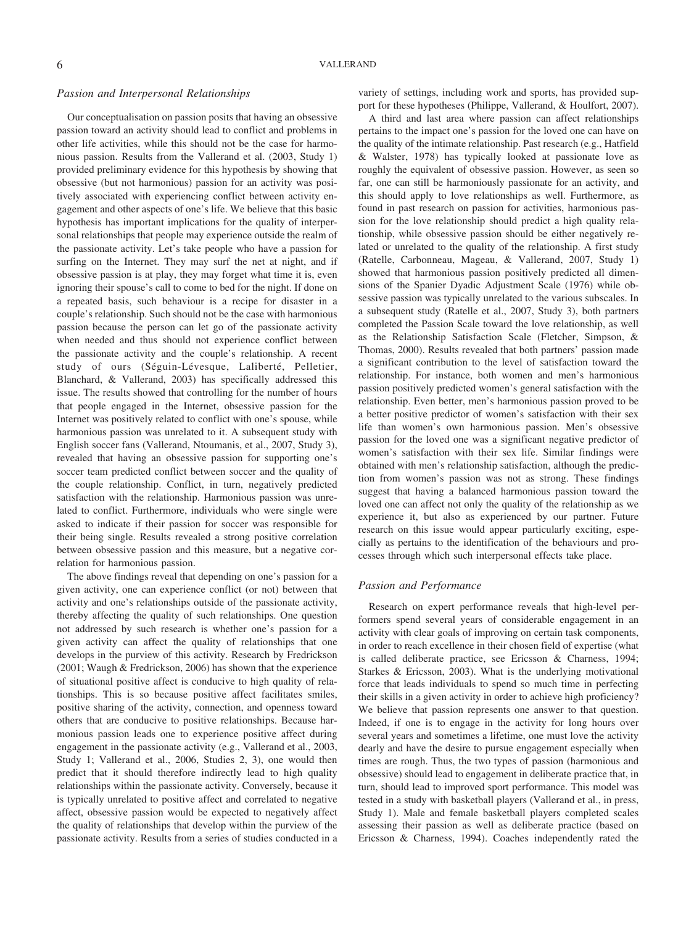#### *Passion and Interpersonal Relationships*

Our conceptualisation on passion posits that having an obsessive passion toward an activity should lead to conflict and problems in other life activities, while this should not be the case for harmonious passion. Results from the Vallerand et al. (2003, Study 1) provided preliminary evidence for this hypothesis by showing that obsessive (but not harmonious) passion for an activity was positively associated with experiencing conflict between activity engagement and other aspects of one's life. We believe that this basic hypothesis has important implications for the quality of interpersonal relationships that people may experience outside the realm of the passionate activity. Let's take people who have a passion for surfing on the Internet. They may surf the net at night, and if obsessive passion is at play, they may forget what time it is, even ignoring their spouse's call to come to bed for the night. If done on a repeated basis, such behaviour is a recipe for disaster in a couple's relationship. Such should not be the case with harmonious passion because the person can let go of the passionate activity when needed and thus should not experience conflict between the passionate activity and the couple's relationship. A recent study of ours (Séguin-Lévesque, Laliberté, Pelletier, Blanchard, & Vallerand, 2003) has specifically addressed this issue. The results showed that controlling for the number of hours that people engaged in the Internet, obsessive passion for the Internet was positively related to conflict with one's spouse, while harmonious passion was unrelated to it. A subsequent study with English soccer fans (Vallerand, Ntoumanis, et al., 2007, Study 3), revealed that having an obsessive passion for supporting one's soccer team predicted conflict between soccer and the quality of the couple relationship. Conflict, in turn, negatively predicted satisfaction with the relationship. Harmonious passion was unrelated to conflict. Furthermore, individuals who were single were asked to indicate if their passion for soccer was responsible for their being single. Results revealed a strong positive correlation between obsessive passion and this measure, but a negative correlation for harmonious passion.

The above findings reveal that depending on one's passion for a given activity, one can experience conflict (or not) between that activity and one's relationships outside of the passionate activity, thereby affecting the quality of such relationships. One question not addressed by such research is whether one's passion for a given activity can affect the quality of relationships that one develops in the purview of this activity. Research by Fredrickson (2001; Waugh & Fredrickson, 2006) has shown that the experience of situational positive affect is conducive to high quality of relationships. This is so because positive affect facilitates smiles, positive sharing of the activity, connection, and openness toward others that are conducive to positive relationships. Because harmonious passion leads one to experience positive affect during engagement in the passionate activity (e.g., Vallerand et al., 2003, Study 1; Vallerand et al., 2006, Studies 2, 3), one would then predict that it should therefore indirectly lead to high quality relationships within the passionate activity. Conversely, because it is typically unrelated to positive affect and correlated to negative affect, obsessive passion would be expected to negatively affect the quality of relationships that develop within the purview of the passionate activity. Results from a series of studies conducted in a

variety of settings, including work and sports, has provided support for these hypotheses (Philippe, Vallerand, & Houlfort, 2007).

A third and last area where passion can affect relationships pertains to the impact one's passion for the loved one can have on the quality of the intimate relationship. Past research (e.g., Hatfield & Walster, 1978) has typically looked at passionate love as roughly the equivalent of obsessive passion. However, as seen so far, one can still be harmoniously passionate for an activity, and this should apply to love relationships as well. Furthermore, as found in past research on passion for activities, harmonious passion for the love relationship should predict a high quality relationship, while obsessive passion should be either negatively related or unrelated to the quality of the relationship. A first study (Ratelle, Carbonneau, Mageau, & Vallerand, 2007, Study 1) showed that harmonious passion positively predicted all dimensions of the Spanier Dyadic Adjustment Scale (1976) while obsessive passion was typically unrelated to the various subscales. In a subsequent study (Ratelle et al., 2007, Study 3), both partners completed the Passion Scale toward the love relationship, as well as the Relationship Satisfaction Scale (Fletcher, Simpson, & Thomas, 2000). Results revealed that both partners' passion made a significant contribution to the level of satisfaction toward the relationship. For instance, both women and men's harmonious passion positively predicted women's general satisfaction with the relationship. Even better, men's harmonious passion proved to be a better positive predictor of women's satisfaction with their sex life than women's own harmonious passion. Men's obsessive passion for the loved one was a significant negative predictor of women's satisfaction with their sex life. Similar findings were obtained with men's relationship satisfaction, although the prediction from women's passion was not as strong. These findings suggest that having a balanced harmonious passion toward the loved one can affect not only the quality of the relationship as we experience it, but also as experienced by our partner. Future research on this issue would appear particularly exciting, especially as pertains to the identification of the behaviours and processes through which such interpersonal effects take place.

## *Passion and Performance*

Research on expert performance reveals that high-level performers spend several years of considerable engagement in an activity with clear goals of improving on certain task components, in order to reach excellence in their chosen field of expertise (what is called deliberate practice, see Ericsson & Charness, 1994; Starkes & Ericsson, 2003). What is the underlying motivational force that leads individuals to spend so much time in perfecting their skills in a given activity in order to achieve high proficiency? We believe that passion represents one answer to that question. Indeed, if one is to engage in the activity for long hours over several years and sometimes a lifetime, one must love the activity dearly and have the desire to pursue engagement especially when times are rough. Thus, the two types of passion (harmonious and obsessive) should lead to engagement in deliberate practice that, in turn, should lead to improved sport performance. This model was tested in a study with basketball players (Vallerand et al., in press, Study 1). Male and female basketball players completed scales assessing their passion as well as deliberate practice (based on Ericsson & Charness, 1994). Coaches independently rated the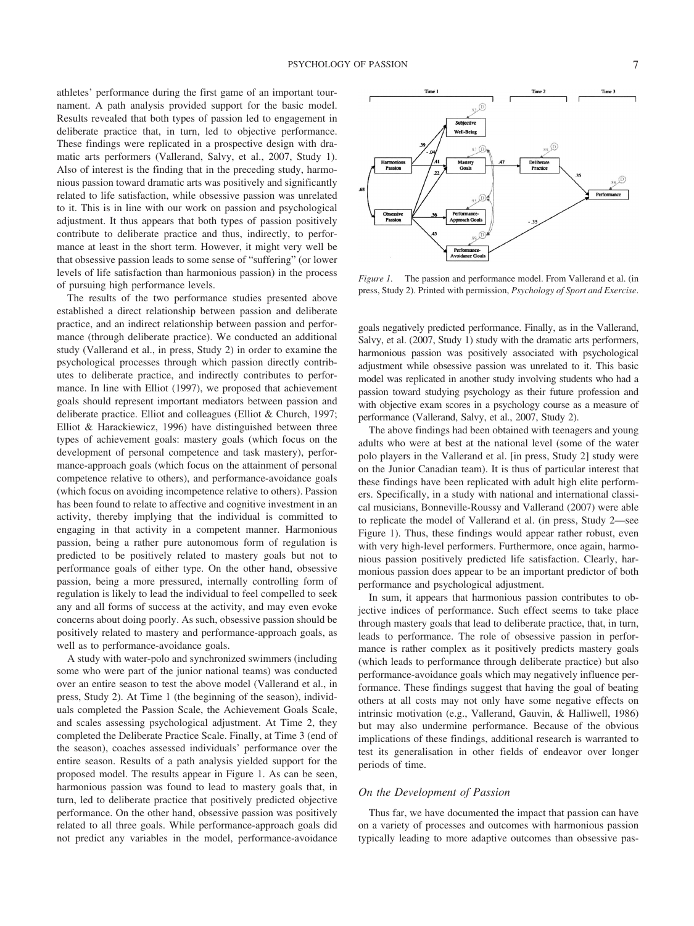athletes' performance during the first game of an important tournament. A path analysis provided support for the basic model. Results revealed that both types of passion led to engagement in deliberate practice that, in turn, led to objective performance. These findings were replicated in a prospective design with dramatic arts performers (Vallerand, Salvy, et al., 2007, Study 1). Also of interest is the finding that in the preceding study, harmonious passion toward dramatic arts was positively and significantly related to life satisfaction, while obsessive passion was unrelated to it. This is in line with our work on passion and psychological adjustment. It thus appears that both types of passion positively contribute to deliberate practice and thus, indirectly, to performance at least in the short term. However, it might very well be that obsessive passion leads to some sense of "suffering" (or lower levels of life satisfaction than harmonious passion) in the process of pursuing high performance levels.

The results of the two performance studies presented above established a direct relationship between passion and deliberate practice, and an indirect relationship between passion and performance (through deliberate practice). We conducted an additional study (Vallerand et al., in press, Study 2) in order to examine the psychological processes through which passion directly contributes to deliberate practice, and indirectly contributes to performance. In line with Elliot (1997), we proposed that achievement goals should represent important mediators between passion and deliberate practice. Elliot and colleagues (Elliot & Church, 1997; Elliot & Harackiewicz, 1996) have distinguished between three types of achievement goals: mastery goals (which focus on the development of personal competence and task mastery), performance-approach goals (which focus on the attainment of personal competence relative to others), and performance-avoidance goals (which focus on avoiding incompetence relative to others). Passion has been found to relate to affective and cognitive investment in an activity, thereby implying that the individual is committed to engaging in that activity in a competent manner. Harmonious passion, being a rather pure autonomous form of regulation is predicted to be positively related to mastery goals but not to performance goals of either type. On the other hand, obsessive passion, being a more pressured, internally controlling form of regulation is likely to lead the individual to feel compelled to seek any and all forms of success at the activity, and may even evoke concerns about doing poorly. As such, obsessive passion should be positively related to mastery and performance-approach goals, as well as to performance-avoidance goals.

A study with water-polo and synchronized swimmers (including some who were part of the junior national teams) was conducted over an entire season to test the above model (Vallerand et al., in press, Study 2). At Time 1 (the beginning of the season), individuals completed the Passion Scale, the Achievement Goals Scale, and scales assessing psychological adjustment. At Time 2, they completed the Deliberate Practice Scale. Finally, at Time 3 (end of the season), coaches assessed individuals' performance over the entire season. Results of a path analysis yielded support for the proposed model. The results appear in Figure 1. As can be seen, harmonious passion was found to lead to mastery goals that, in turn, led to deliberate practice that positively predicted objective performance. On the other hand, obsessive passion was positively related to all three goals. While performance-approach goals did not predict any variables in the model, performance-avoidance



*Figure 1.* The passion and performance model. From Vallerand et al. (in press, Study 2). Printed with permission, *Psychology of Sport and Exercise*.

goals negatively predicted performance. Finally, as in the Vallerand, Salvy, et al. (2007, Study 1) study with the dramatic arts performers, harmonious passion was positively associated with psychological adjustment while obsessive passion was unrelated to it. This basic model was replicated in another study involving students who had a passion toward studying psychology as their future profession and with objective exam scores in a psychology course as a measure of performance (Vallerand, Salvy, et al., 2007, Study 2).

The above findings had been obtained with teenagers and young adults who were at best at the national level (some of the water polo players in the Vallerand et al. [in press, Study 2] study were on the Junior Canadian team). It is thus of particular interest that these findings have been replicated with adult high elite performers. Specifically, in a study with national and international classical musicians, Bonneville-Roussy and Vallerand (2007) were able to replicate the model of Vallerand et al. (in press, Study 2—see Figure 1). Thus, these findings would appear rather robust, even with very high-level performers. Furthermore, once again, harmonious passion positively predicted life satisfaction. Clearly, harmonious passion does appear to be an important predictor of both performance and psychological adjustment.

In sum, it appears that harmonious passion contributes to objective indices of performance. Such effect seems to take place through mastery goals that lead to deliberate practice, that, in turn, leads to performance. The role of obsessive passion in performance is rather complex as it positively predicts mastery goals (which leads to performance through deliberate practice) but also performance-avoidance goals which may negatively influence performance. These findings suggest that having the goal of beating others at all costs may not only have some negative effects on intrinsic motivation (e.g., Vallerand, Gauvin, & Halliwell, 1986) but may also undermine performance. Because of the obvious implications of these findings, additional research is warranted to test its generalisation in other fields of endeavor over longer periods of time.

#### *On the Development of Passion*

Thus far, we have documented the impact that passion can have on a variety of processes and outcomes with harmonious passion typically leading to more adaptive outcomes than obsessive pas-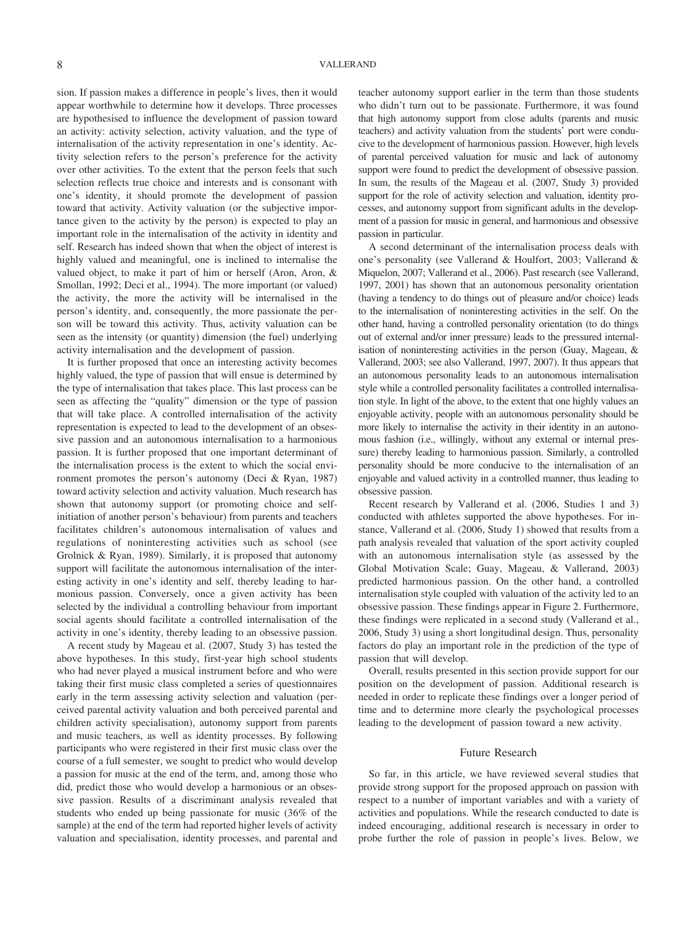sion. If passion makes a difference in people's lives, then it would appear worthwhile to determine how it develops. Three processes are hypothesised to influence the development of passion toward an activity: activity selection, activity valuation, and the type of internalisation of the activity representation in one's identity. Activity selection refers to the person's preference for the activity over other activities. To the extent that the person feels that such selection reflects true choice and interests and is consonant with one's identity, it should promote the development of passion toward that activity. Activity valuation (or the subjective importance given to the activity by the person) is expected to play an important role in the internalisation of the activity in identity and self. Research has indeed shown that when the object of interest is highly valued and meaningful, one is inclined to internalise the valued object, to make it part of him or herself (Aron, Aron, & Smollan, 1992; Deci et al., 1994). The more important (or valued) the activity, the more the activity will be internalised in the person's identity, and, consequently, the more passionate the person will be toward this activity. Thus, activity valuation can be seen as the intensity (or quantity) dimension (the fuel) underlying activity internalisation and the development of passion.

It is further proposed that once an interesting activity becomes highly valued, the type of passion that will ensue is determined by the type of internalisation that takes place. This last process can be seen as affecting the "quality" dimension or the type of passion that will take place. A controlled internalisation of the activity representation is expected to lead to the development of an obsessive passion and an autonomous internalisation to a harmonious passion. It is further proposed that one important determinant of the internalisation process is the extent to which the social environment promotes the person's autonomy (Deci & Ryan, 1987) toward activity selection and activity valuation. Much research has shown that autonomy support (or promoting choice and selfinitiation of another person's behaviour) from parents and teachers facilitates children's autonomous internalisation of values and regulations of noninteresting activities such as school (see Grolnick & Ryan, 1989). Similarly, it is proposed that autonomy support will facilitate the autonomous internalisation of the interesting activity in one's identity and self, thereby leading to harmonious passion. Conversely, once a given activity has been selected by the individual a controlling behaviour from important social agents should facilitate a controlled internalisation of the activity in one's identity, thereby leading to an obsessive passion.

A recent study by Mageau et al. (2007, Study 3) has tested the above hypotheses. In this study, first-year high school students who had never played a musical instrument before and who were taking their first music class completed a series of questionnaires early in the term assessing activity selection and valuation (perceived parental activity valuation and both perceived parental and children activity specialisation), autonomy support from parents and music teachers, as well as identity processes. By following participants who were registered in their first music class over the course of a full semester, we sought to predict who would develop a passion for music at the end of the term, and, among those who did, predict those who would develop a harmonious or an obsessive passion. Results of a discriminant analysis revealed that students who ended up being passionate for music (36% of the sample) at the end of the term had reported higher levels of activity valuation and specialisation, identity processes, and parental and teacher autonomy support earlier in the term than those students who didn't turn out to be passionate. Furthermore, it was found that high autonomy support from close adults (parents and music teachers) and activity valuation from the students' port were conducive to the development of harmonious passion. However, high levels of parental perceived valuation for music and lack of autonomy support were found to predict the development of obsessive passion. In sum, the results of the Mageau et al. (2007, Study 3) provided support for the role of activity selection and valuation, identity processes, and autonomy support from significant adults in the development of a passion for music in general, and harmonious and obsessive passion in particular.

A second determinant of the internalisation process deals with one's personality (see Vallerand & Houlfort, 2003; Vallerand & Miquelon, 2007; Vallerand et al., 2006). Past research (see Vallerand, 1997, 2001) has shown that an autonomous personality orientation (having a tendency to do things out of pleasure and/or choice) leads to the internalisation of noninteresting activities in the self. On the other hand, having a controlled personality orientation (to do things out of external and/or inner pressure) leads to the pressured internalisation of noninteresting activities in the person (Guay, Mageau, & Vallerand, 2003; see also Vallerand, 1997, 2007). It thus appears that an autonomous personality leads to an autonomous internalisation style while a controlled personality facilitates a controlled internalisation style. In light of the above, to the extent that one highly values an enjoyable activity, people with an autonomous personality should be more likely to internalise the activity in their identity in an autonomous fashion (i.e., willingly, without any external or internal pressure) thereby leading to harmonious passion. Similarly, a controlled personality should be more conducive to the internalisation of an enjoyable and valued activity in a controlled manner, thus leading to obsessive passion.

Recent research by Vallerand et al. (2006, Studies 1 and 3) conducted with athletes supported the above hypotheses. For instance, Vallerand et al. (2006, Study 1) showed that results from a path analysis revealed that valuation of the sport activity coupled with an autonomous internalisation style (as assessed by the Global Motivation Scale; Guay, Mageau, & Vallerand, 2003) predicted harmonious passion. On the other hand, a controlled internalisation style coupled with valuation of the activity led to an obsessive passion. These findings appear in Figure 2. Furthermore, these findings were replicated in a second study (Vallerand et al., 2006, Study 3) using a short longitudinal design. Thus, personality factors do play an important role in the prediction of the type of passion that will develop.

Overall, results presented in this section provide support for our position on the development of passion. Additional research is needed in order to replicate these findings over a longer period of time and to determine more clearly the psychological processes leading to the development of passion toward a new activity.

#### Future Research

So far, in this article, we have reviewed several studies that provide strong support for the proposed approach on passion with respect to a number of important variables and with a variety of activities and populations. While the research conducted to date is indeed encouraging, additional research is necessary in order to probe further the role of passion in people's lives. Below, we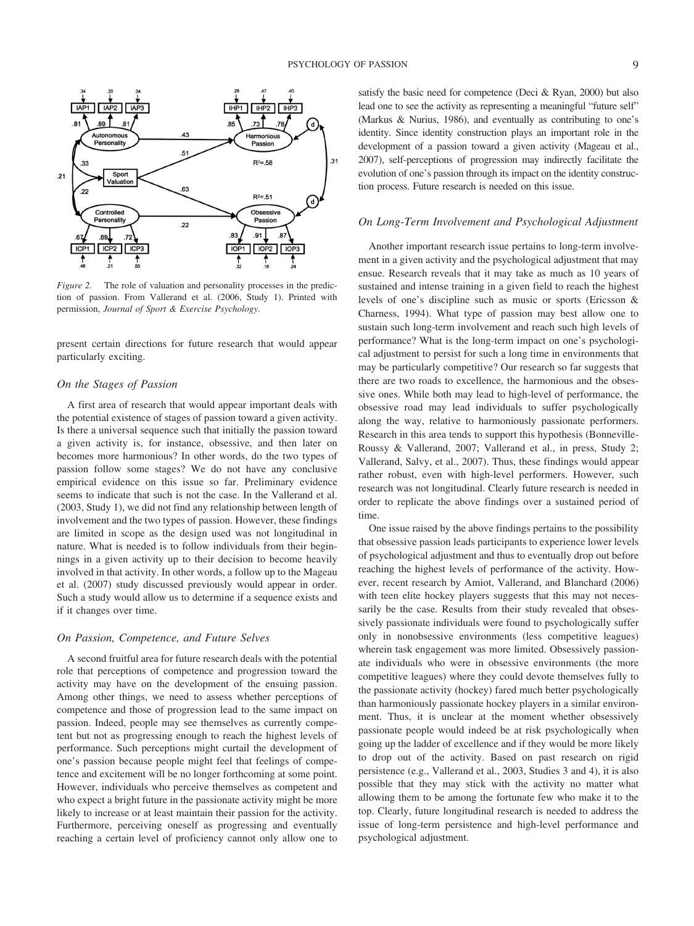



*Figure 2.* The role of valuation and personality processes in the prediction of passion. From Vallerand et al. (2006, Study 1). Printed with permission, *Journal of Sport & Exercise Psychology*.

present certain directions for future research that would appear particularly exciting.

#### *On the Stages of Passion*

A first area of research that would appear important deals with the potential existence of stages of passion toward a given activity. Is there a universal sequence such that initially the passion toward a given activity is, for instance, obsessive, and then later on becomes more harmonious? In other words, do the two types of passion follow some stages? We do not have any conclusive empirical evidence on this issue so far. Preliminary evidence seems to indicate that such is not the case. In the Vallerand et al. (2003, Study 1), we did not find any relationship between length of involvement and the two types of passion. However, these findings are limited in scope as the design used was not longitudinal in nature. What is needed is to follow individuals from their beginnings in a given activity up to their decision to become heavily involved in that activity. In other words, a follow up to the Mageau et al. (2007) study discussed previously would appear in order. Such a study would allow us to determine if a sequence exists and if it changes over time.

#### *On Passion, Competence, and Future Selves*

A second fruitful area for future research deals with the potential role that perceptions of competence and progression toward the activity may have on the development of the ensuing passion. Among other things, we need to assess whether perceptions of competence and those of progression lead to the same impact on passion. Indeed, people may see themselves as currently competent but not as progressing enough to reach the highest levels of performance. Such perceptions might curtail the development of one's passion because people might feel that feelings of competence and excitement will be no longer forthcoming at some point. However, individuals who perceive themselves as competent and who expect a bright future in the passionate activity might be more likely to increase or at least maintain their passion for the activity. Furthermore, perceiving oneself as progressing and eventually reaching a certain level of proficiency cannot only allow one to

satisfy the basic need for competence (Deci & Ryan, 2000) but also lead one to see the activity as representing a meaningful "future self" (Markus & Nurius, 1986), and eventually as contributing to one's identity. Since identity construction plays an important role in the development of a passion toward a given activity (Mageau et al., 2007), self-perceptions of progression may indirectly facilitate the evolution of one's passion through its impact on the identity construction process. Future research is needed on this issue.

#### *On Long-Term Involvement and Psychological Adjustment*

Another important research issue pertains to long-term involvement in a given activity and the psychological adjustment that may ensue. Research reveals that it may take as much as 10 years of sustained and intense training in a given field to reach the highest levels of one's discipline such as music or sports (Ericsson & Charness, 1994). What type of passion may best allow one to sustain such long-term involvement and reach such high levels of performance? What is the long-term impact on one's psychological adjustment to persist for such a long time in environments that may be particularly competitive? Our research so far suggests that there are two roads to excellence, the harmonious and the obsessive ones. While both may lead to high-level of performance, the obsessive road may lead individuals to suffer psychologically along the way, relative to harmoniously passionate performers. Research in this area tends to support this hypothesis (Bonneville-Roussy & Vallerand, 2007; Vallerand et al., in press, Study 2; Vallerand, Salvy, et al., 2007). Thus, these findings would appear rather robust, even with high-level performers. However, such research was not longitudinal. Clearly future research is needed in order to replicate the above findings over a sustained period of time.

One issue raised by the above findings pertains to the possibility that obsessive passion leads participants to experience lower levels of psychological adjustment and thus to eventually drop out before reaching the highest levels of performance of the activity. However, recent research by Amiot, Vallerand, and Blanchard (2006) with teen elite hockey players suggests that this may not necessarily be the case. Results from their study revealed that obsessively passionate individuals were found to psychologically suffer only in nonobsessive environments (less competitive leagues) wherein task engagement was more limited. Obsessively passionate individuals who were in obsessive environments (the more competitive leagues) where they could devote themselves fully to the passionate activity (hockey) fared much better psychologically than harmoniously passionate hockey players in a similar environment. Thus, it is unclear at the moment whether obsessively passionate people would indeed be at risk psychologically when going up the ladder of excellence and if they would be more likely to drop out of the activity. Based on past research on rigid persistence (e.g., Vallerand et al., 2003, Studies 3 and 4), it is also possible that they may stick with the activity no matter what allowing them to be among the fortunate few who make it to the top. Clearly, future longitudinal research is needed to address the issue of long-term persistence and high-level performance and psychological adjustment.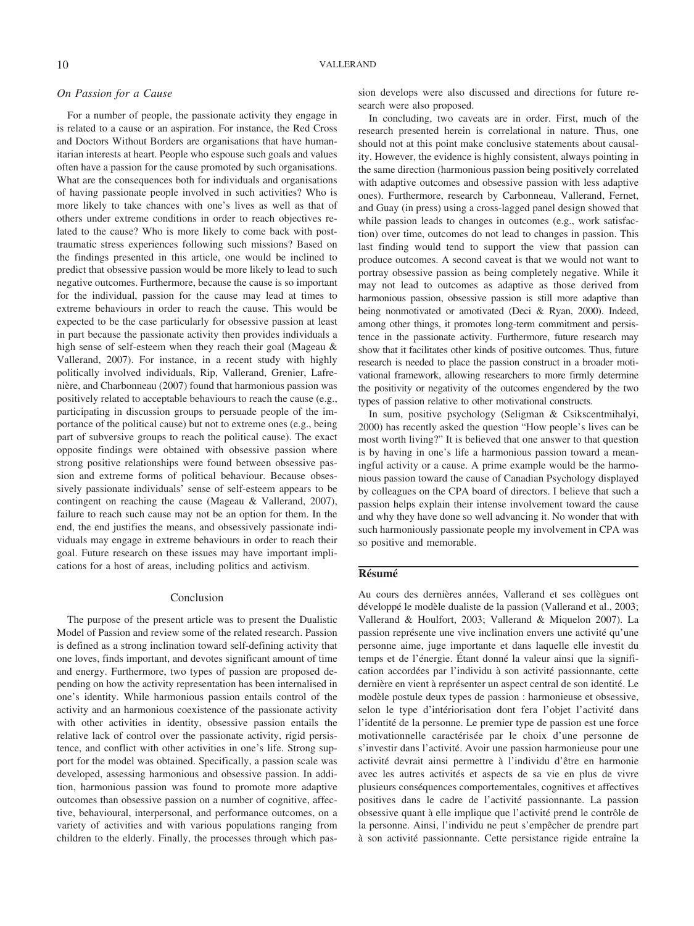## *On Passion for a Cause*

For a number of people, the passionate activity they engage in is related to a cause or an aspiration. For instance, the Red Cross and Doctors Without Borders are organisations that have humanitarian interests at heart. People who espouse such goals and values often have a passion for the cause promoted by such organisations. What are the consequences both for individuals and organisations of having passionate people involved in such activities? Who is more likely to take chances with one's lives as well as that of others under extreme conditions in order to reach objectives related to the cause? Who is more likely to come back with posttraumatic stress experiences following such missions? Based on the findings presented in this article, one would be inclined to predict that obsessive passion would be more likely to lead to such negative outcomes. Furthermore, because the cause is so important for the individual, passion for the cause may lead at times to extreme behaviours in order to reach the cause. This would be expected to be the case particularly for obsessive passion at least in part because the passionate activity then provides individuals a high sense of self-esteem when they reach their goal (Mageau & Vallerand, 2007). For instance, in a recent study with highly politically involved individuals, Rip, Vallerand, Grenier, Lafrenière, and Charbonneau (2007) found that harmonious passion was positively related to acceptable behaviours to reach the cause (e.g., participating in discussion groups to persuade people of the importance of the political cause) but not to extreme ones (e.g., being part of subversive groups to reach the political cause). The exact opposite findings were obtained with obsessive passion where strong positive relationships were found between obsessive passion and extreme forms of political behaviour. Because obsessively passionate individuals' sense of self-esteem appears to be contingent on reaching the cause (Mageau & Vallerand, 2007), failure to reach such cause may not be an option for them. In the end, the end justifies the means, and obsessively passionate individuals may engage in extreme behaviours in order to reach their goal. Future research on these issues may have important implications for a host of areas, including politics and activism.

## Conclusion

The purpose of the present article was to present the Dualistic Model of Passion and review some of the related research. Passion is defined as a strong inclination toward self-defining activity that one loves, finds important, and devotes significant amount of time and energy. Furthermore, two types of passion are proposed depending on how the activity representation has been internalised in one's identity. While harmonious passion entails control of the activity and an harmonious coexistence of the passionate activity with other activities in identity, obsessive passion entails the relative lack of control over the passionate activity, rigid persistence, and conflict with other activities in one's life. Strong support for the model was obtained. Specifically, a passion scale was developed, assessing harmonious and obsessive passion. In addition, harmonious passion was found to promote more adaptive outcomes than obsessive passion on a number of cognitive, affective, behavioural, interpersonal, and performance outcomes, on a variety of activities and with various populations ranging from children to the elderly. Finally, the processes through which passion develops were also discussed and directions for future research were also proposed.

In concluding, two caveats are in order. First, much of the research presented herein is correlational in nature. Thus, one should not at this point make conclusive statements about causality. However, the evidence is highly consistent, always pointing in the same direction (harmonious passion being positively correlated with adaptive outcomes and obsessive passion with less adaptive ones). Furthermore, research by Carbonneau, Vallerand, Fernet, and Guay (in press) using a cross-lagged panel design showed that while passion leads to changes in outcomes (e.g., work satisfaction) over time, outcomes do not lead to changes in passion. This last finding would tend to support the view that passion can produce outcomes. A second caveat is that we would not want to portray obsessive passion as being completely negative. While it may not lead to outcomes as adaptive as those derived from harmonious passion, obsessive passion is still more adaptive than being nonmotivated or amotivated (Deci & Ryan, 2000). Indeed, among other things, it promotes long-term commitment and persistence in the passionate activity. Furthermore, future research may show that it facilitates other kinds of positive outcomes. Thus, future research is needed to place the passion construct in a broader motivational framework, allowing researchers to more firmly determine the positivity or negativity of the outcomes engendered by the two types of passion relative to other motivational constructs.

In sum, positive psychology (Seligman & Csikscentmihalyi, 2000) has recently asked the question "How people's lives can be most worth living?" It is believed that one answer to that question is by having in one's life a harmonious passion toward a meaningful activity or a cause. A prime example would be the harmonious passion toward the cause of Canadian Psychology displayed by colleagues on the CPA board of directors. I believe that such a passion helps explain their intense involvement toward the cause and why they have done so well advancing it. No wonder that with such harmoniously passionate people my involvement in CPA was so positive and memorable.

## **Re´sume´**

Au cours des dernières années, Vallerand et ses collègues ont développé le modèle dualiste de la passion (Vallerand et al., 2003; Vallerand & Houlfort, 2003; Vallerand & Miquelon 2007). La passion représente une vive inclination envers une activité qu'une personne aime, juge importante et dans laquelle elle investit du temps et de l'énergie. Étant donné la valeur ainsi que la signification accordées par l'individu à son activité passionnante, cette dernière en vient à représenter un aspect central de son identité. Le modèle postule deux types de passion : harmonieuse et obsessive, selon le type d'intériorisation dont fera l'objet l'activité dans l'identité de la personne. Le premier type de passion est une force motivationnelle caractérisée par le choix d'une personne de s'investir dans l'activité. Avoir une passion harmonieuse pour une activité devrait ainsi permettre à l'individu d'être en harmonie avec les autres activités et aspects de sa vie en plus de vivre plusieurs conséquences comportementales, cognitives et affectives positives dans le cadre de l'activité passionnante. La passion obsessive quant à elle implique que l'activité prend le contrôle de la personne. Ainsi, l'individu ne peut s'empêcher de prendre part a` son activite´ passionnante. Cette persistance rigide entraîne la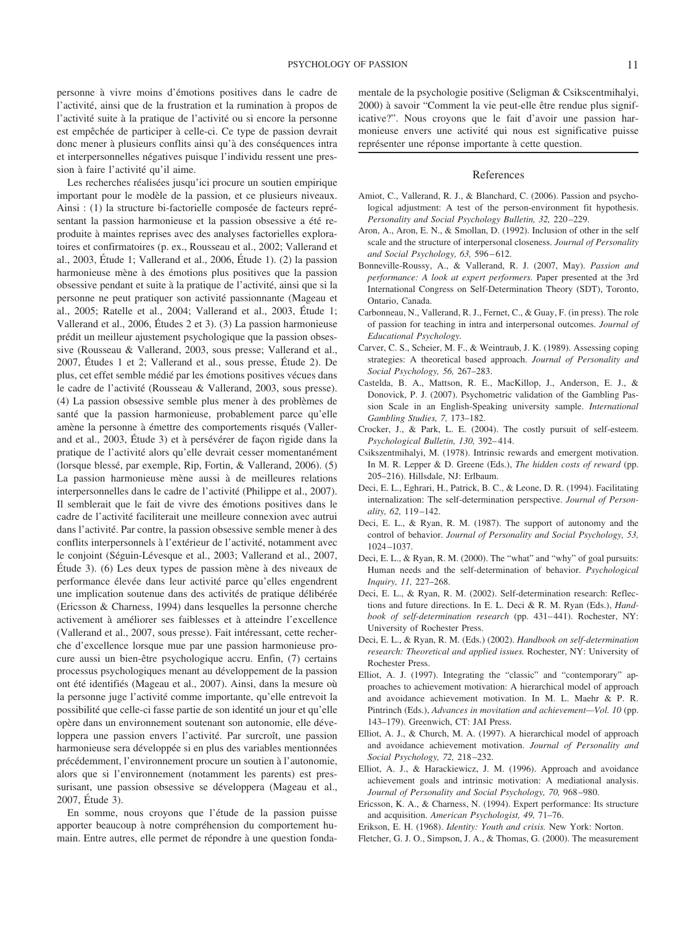personne à vivre moins d'émotions positives dans le cadre de l'activité, ainsi que de la frustration et la rumination à propos de l'activité suite à la pratique de l'activité ou si encore la personne est empêchée de participer à celle-ci. Ce type de passion devrait donc mener à plusieurs conflits ainsi qu'à des conséquences intra et interpersonnelles négatives puisque l'individu ressent une pression à faire l'activité qu'il aime.

Les recherches réalisées jusqu'ici procure un soutien empirique important pour le modèle de la passion, et ce plusieurs niveaux. Ainsi : (1) la structure bi-factorielle composée de facteurs représentant la passion harmonieuse et la passion obsessive a été reproduite a` maintes reprises avec des analyses factorielles exploratoires et confirmatoires (p. ex., Rousseau et al., 2002; Vallerand et al., 2003, Étude 1; Vallerand et al., 2006, Étude 1). (2) la passion harmonieuse mène à des émotions plus positives que la passion obsessive pendant et suite à la pratique de l'activité, ainsi que si la personne ne peut pratiquer son activité passionnante (Mageau et al., 2005; Ratelle et al., 2004; Vallerand et al., 2003, Étude 1; Vallerand et al., 2006, Études 2 et 3). (3) La passion harmonieuse prédit un meilleur ajustement psychologique que la passion obsessive (Rousseau & Vallerand, 2003, sous presse; Vallerand et al., 2007, Études 1 et 2; Vallerand et al., sous presse, Étude 2). De plus, cet effet semble médié par les émotions positives vécues dans le cadre de l'activité (Rousseau & Vallerand, 2003, sous presse). (4) La passion obsessive semble plus mener a` des proble`mes de santé que la passion harmonieuse, probablement parce qu'elle amène la personne à émettre des comportements risqués (Vallerand et al., 2003, Étude 3) et à persévérer de façon rigide dans la pratique de l'activité alors qu'elle devrait cesser momentanément (lorsque blesse´, par exemple, Rip, Fortin, & Vallerand, 2006). (5) La passion harmonieuse mène aussi à de meilleures relations interpersonnelles dans le cadre de l'activité (Philippe et al., 2007). Il semblerait que le fait de vivre des émotions positives dans le cadre de l'activité faciliterait une meilleure connexion avec autrui dans l'activité. Par contre, la passion obsessive semble mener à des conflits interpersonnels à l'extérieur de l'activité, notamment avec le conjoint (Séguin-Lévesque et al., 2003; Vallerand et al., 2007, Étude 3).  $(6)$  Les deux types de passion mène à des niveaux de performance élevée dans leur activité parce qu'elles engendrent une implication soutenue dans des activités de pratique délibérée (Ericsson & Charness, 1994) dans lesquelles la personne cherche activement à améliorer ses faiblesses et à atteindre l'excellence (Vallerand et al., 2007, sous presse). Fait intéressant, cette recherche d'excellence lorsque mue par une passion harmonieuse procure aussi un bien-être psychologique accru. Enfin, (7) certains processus psychologiques menant au de´veloppement de la passion ont été identifiés (Mageau et al., 2007). Ainsi, dans la mesure où la personne juge l'activité comme importante, qu'elle entrevoit la possibilité que celle-ci fasse partie de son identité un jour et qu'elle opère dans un environnement soutenant son autonomie, elle développera une passion envers l'activité. Par surcroît, une passion harmonieuse sera développée si en plus des variables mentionnées précédemment, l'environnement procure un soutien à l'autonomie, alors que si l'environnement (notamment les parents) est pressurisant, une passion obsessive se développera (Mageau et al., 2007. Étude 3).

En somme, nous croyons que l'étude de la passion puisse apporter beaucoup à notre compréhension du comportement humain. Entre autres, elle permet de répondre à une question fondamentale de la psychologie positive (Seligman & Csikscentmihalyi, 2000) à savoir "Comment la vie peut-elle être rendue plus significative?". Nous croyons que le fait d'avoir une passion harmonieuse envers une activité qui nous est significative puisse représenter une réponse importante à cette question.

#### References

- Amiot, C., Vallerand, R. J., & Blanchard, C. (2006). Passion and psychological adjustment: A test of the person-environment fit hypothesis. *Personality and Social Psychology Bulletin, 32,* 220–229.
- Aron, A., Aron, E. N., & Smollan, D. (1992). Inclusion of other in the self scale and the structure of interpersonal closeness. *Journal of Personality and Social Psychology, 63,* 596–612.
- Bonneville-Roussy, A., & Vallerand, R. J. (2007, May). *Passion and performance: A look at expert performers.* Paper presented at the 3rd International Congress on Self-Determination Theory (SDT), Toronto, Ontario, Canada.
- Carbonneau, N., Vallerand, R. J., Fernet, C., & Guay, F. (in press). The role of passion for teaching in intra and interpersonal outcomes. *Journal of Educational Psychology.*
- Carver, C. S., Scheier, M. F., & Weintraub, J. K. (1989). Assessing coping strategies: A theoretical based approach. *Journal of Personality and Social Psychology, 56,* 267–283.
- Castelda, B. A., Mattson, R. E., MacKillop, J., Anderson, E. J., & Donovick, P. J. (2007). Psychometric validation of the Gambling Passion Scale in an English-Speaking university sample. *International Gambling Studies, 7,* 173–182.
- Crocker, J., & Park, L. E. (2004). The costly pursuit of self-esteem. *Psychological Bulletin, 130,* 392–414.
- Csikszentmihalyi, M. (1978). Intrinsic rewards and emergent motivation. In M. R. Lepper & D. Greene (Eds.), *The hidden costs of reward* (pp. 205–216). Hillsdale, NJ: Erlbaum.
- Deci, E. L., Eghrari, H., Patrick, B. C., & Leone, D. R. (1994). Facilitating internalization: The self-determination perspective. *Journal of Personality, 62,* 119–142.
- Deci, E. L., & Ryan, R. M. (1987). The support of autonomy and the control of behavior. *Journal of Personality and Social Psychology, 53,* 1024–1037.
- Deci, E. L., & Ryan, R. M. (2000). The "what" and "why" of goal pursuits: Human needs and the self-determination of behavior. *Psychological Inquiry, 11,* 227–268.
- Deci, E. L., & Ryan, R. M. (2002). Self-determination research: Reflections and future directions. In E. L. Deci & R. M. Ryan (Eds.), *Handbook of self-determination research* (pp. 431–441). Rochester, NY: University of Rochester Press.
- Deci, E. L., & Ryan, R. M. (Eds.) (2002). *Handbook on self-determination research: Theoretical and applied issues.* Rochester, NY: University of Rochester Press.
- Elliot, A. J. (1997). Integrating the "classic" and "contemporary" approaches to achievement motivation: A hierarchical model of approach and avoidance achievement motivation. In M. L. Maehr & P. R. Pintrinch (Eds.), *Advances in movitation and achievement—Vol. 10* (pp. 143–179). Greenwich, CT: JAI Press.
- Elliot, A. J., & Church, M. A. (1997). A hierarchical model of approach and avoidance achievement motivation. *Journal of Personality and Social Psychology, 72,* 218–232.
- Elliot, A. J., & Harackiewicz, J. M. (1996). Approach and avoidance achievement goals and intrinsic motivation: A mediational analysis. *Journal of Personality and Social Psychology, 70,* 968–980.
- Ericsson, K. A., & Charness, N. (1994). Expert performance: Its structure and acquisition. *American Psychologist, 49,* 71–76.
- Erikson, E. H. (1968). *Identity: Youth and crisis.* New York: Norton.
- Fletcher, G. J. O., Simpson, J. A., & Thomas, G. (2000). The measurement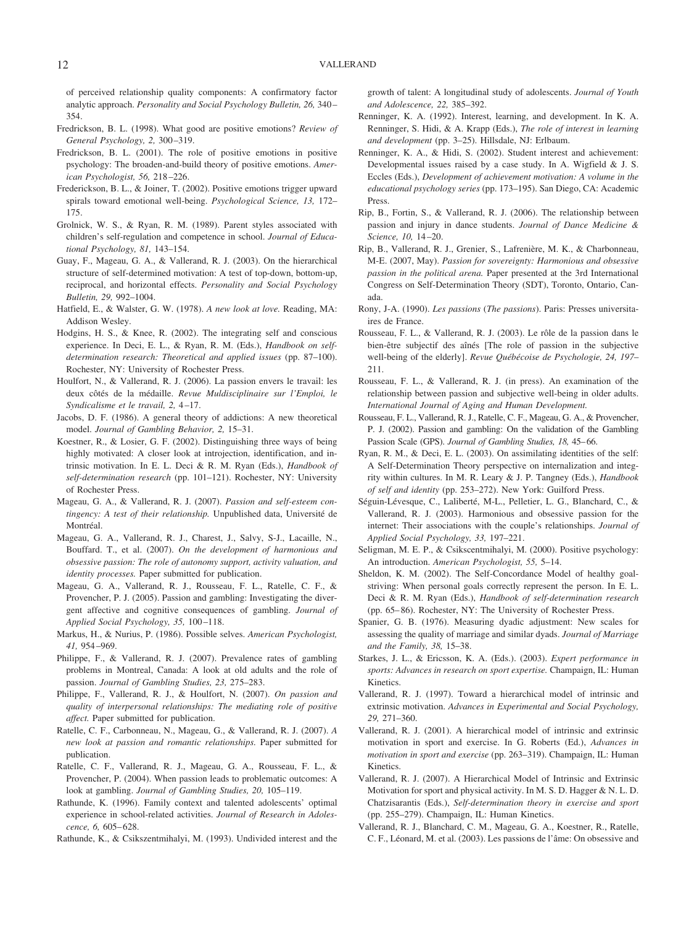of perceived relationship quality components: A confirmatory factor analytic approach. *Personality and Social Psychology Bulletin, 26,* 340– 354.

- Fredrickson, B. L. (1998). What good are positive emotions? *Review of General Psychology, 2,* 300–319.
- Fredrickson, B. L. (2001). The role of positive emotions in positive psychology: The broaden-and-build theory of positive emotions. *American Psychologist, 56,* 218–226.
- Frederickson, B. L., & Joiner, T. (2002). Positive emotions trigger upward spirals toward emotional well-being. *Psychological Science, 13,* 172– 175.
- Grolnick, W. S., & Ryan, R. M. (1989). Parent styles associated with children's self-regulation and competence in school. *Journal of Educational Psychology, 81,* 143–154.
- Guay, F., Mageau, G. A., & Vallerand, R. J. (2003). On the hierarchical structure of self-determined motivation: A test of top-down, bottom-up, reciprocal, and horizontal effects. *Personality and Social Psychology Bulletin, 29,* 992–1004.
- Hatfield, E., & Walster, G. W. (1978). *A new look at love.* Reading, MA: Addison Wesley.
- Hodgins, H. S., & Knee, R. (2002). The integrating self and conscious experience. In Deci, E. L., & Ryan, R. M. (Eds.), *Handbook on selfdetermination research: Theoretical and applied issues* (pp. 87–100). Rochester, NY: University of Rochester Press.
- Houlfort, N., & Vallerand, R. J. (2006). La passion envers le travail: les deux côtés de la médaille. Revue Muldisciplinaire sur l'Emploi, le *Syndicalisme et le travail, 2,* 4–17.
- Jacobs, D. F. (1986). A general theory of addictions: A new theoretical model. *Journal of Gambling Behavior, 2,* 15–31.
- Koestner, R., & Losier, G. F. (2002). Distinguishing three ways of being highly motivated: A closer look at introjection, identification, and intrinsic motivation. In E. L. Deci & R. M. Ryan (Eds.), *Handbook of self-determination research* (pp. 101–121). Rochester, NY: University of Rochester Press.
- Mageau, G. A., & Vallerand, R. J. (2007). *Passion and self-esteem con*tingency: A test of their relationship. Unpublished data, Université de Montréal.
- Mageau, G. A., Vallerand, R. J., Charest, J., Salvy, S-J., Lacaille, N., Bouffard. T., et al. (2007). *On the development of harmonious and obsessive passion: The role of autonomy support, activity valuation, and identity processes.* Paper submitted for publication.
- Mageau, G. A., Vallerand, R. J., Rousseau, F. L., Ratelle, C. F., & Provencher, P. J. (2005). Passion and gambling: Investigating the divergent affective and cognitive consequences of gambling. *Journal of Applied Social Psychology, 35,* 100–118.
- Markus, H., & Nurius, P. (1986). Possible selves. *American Psychologist, 41,* 954–969.
- Philippe, F., & Vallerand, R. J. (2007). Prevalence rates of gambling problems in Montreal, Canada: A look at old adults and the role of passion. *Journal of Gambling Studies, 23,* 275–283.
- Philippe, F., Vallerand, R. J., & Houlfort, N. (2007). *On passion and quality of interpersonal relationships: The mediating role of positive affect.* Paper submitted for publication.
- Ratelle, C. F., Carbonneau, N., Mageau, G., & Vallerand, R. J. (2007). *A new look at passion and romantic relationships.* Paper submitted for publication.
- Ratelle, C. F., Vallerand, R. J., Mageau, G. A., Rousseau, F. L., & Provencher, P. (2004). When passion leads to problematic outcomes: A look at gambling. *Journal of Gambling Studies, 20,* 105–119.
- Rathunde, K. (1996). Family context and talented adolescents' optimal experience in school-related activities. *Journal of Research in Adolescence, 6,* 605–628.
- Rathunde, K., & Csikszentmihalyi, M. (1993). Undivided interest and the

growth of talent: A longitudinal study of adolescents. *Journal of Youth and Adolescence, 22,* 385–392.

- Renninger, K. A. (1992). Interest, learning, and development. In K. A. Renninger, S. Hidi, & A. Krapp (Eds.), *The role of interest in learning and development* (pp. 3–25). Hillsdale, NJ: Erlbaum.
- Renninger, K. A., & Hidi, S. (2002). Student interest and achievement: Developmental issues raised by a case study. In A. Wigfield & J. S. Eccles (Eds.), *Development of achievement motivation: A volume in the educational psychology series* (pp. 173–195). San Diego, CA: Academic Press.
- Rip, B., Fortin, S., & Vallerand, R. J. (2006). The relationship between passion and injury in dance students. *Journal of Dance Medicine & Science, 10,* 14–20.
- Rip, B., Vallerand, R. J., Grenier, S., Lafrenière, M. K., & Charbonneau, M-E. (2007, May). *Passion for sovereignty: Harmonious and obsessive passion in the political arena.* Paper presented at the 3rd International Congress on Self-Determination Theory (SDT), Toronto, Ontario, Canada.
- Rony, J-A. (1990). *Les passions* (*The passions*). Paris: Presses universitaires de France.
- Rousseau, F. L., & Vallerand, R. J. (2003). Le rôle de la passion dans le bien-être subjectif des aînés [The role of passion in the subjective well-being of the elderly]. *Revue Québécoise de Psychologie*, 24, 197-211.
- Rousseau, F. L., & Vallerand, R. J. (in press). An examination of the relationship between passion and subjective well-being in older adults. *International Journal of Aging and Human Development.*
- Rousseau, F. L., Vallerand, R. J., Ratelle, C. F., Mageau, G. A., & Provencher, P. J. (2002). Passion and gambling: On the validation of the Gambling Passion Scale (GPS). *Journal of Gambling Studies, 18,* 45–66.
- Ryan, R. M., & Deci, E. L. (2003). On assimilating identities of the self: A Self-Determination Theory perspective on internalization and integrity within cultures. In M. R. Leary & J. P. Tangney (Eds.), *Handbook of self and identity* (pp. 253–272). New York: Guilford Press.
- Séguin-Lévesque, C., Laliberté, M-L., Pelletier, L. G., Blanchard, C., & Vallerand, R. J. (2003). Harmonious and obsessive passion for the internet: Their associations with the couple's relationships. *Journal of Applied Social Psychology, 33,* 197–221.
- Seligman, M. E. P., & Csikscentmihalyi, M. (2000). Positive psychology: An introduction. *American Psychologist, 55,* 5–14.
- Sheldon, K. M. (2002). The Self-Concordance Model of healthy goalstriving: When personal goals correctly represent the person. In E. L. Deci & R. M. Ryan (Eds.), *Handbook of self-determination research* (pp. 65–86). Rochester, NY: The University of Rochester Press.
- Spanier, G. B. (1976). Measuring dyadic adjustment: New scales for assessing the quality of marriage and similar dyads. *Journal of Marriage and the Family, 38,* 15–38.
- Starkes, J. L., & Ericsson, K. A. (Eds.). (2003). *Expert performance in sports: Advances in research on sport expertise.* Champaign, IL: Human Kinetics.
- Vallerand, R. J. (1997). Toward a hierarchical model of intrinsic and extrinsic motivation. *Advances in Experimental and Social Psychology, 29,* 271–360.
- Vallerand, R. J. (2001). A hierarchical model of intrinsic and extrinsic motivation in sport and exercise. In G. Roberts (Ed.), *Advances in motivation in sport and exercise* (pp. 263–319). Champaign, IL: Human Kinetics.
- Vallerand, R. J. (2007). A Hierarchical Model of Intrinsic and Extrinsic Motivation for sport and physical activity. In M. S. D. Hagger & N. L. D. Chatzisarantis (Eds.), *Self-determination theory in exercise and sport* (pp. 255–279). Champaign, IL: Human Kinetics.
- Vallerand, R. J., Blanchard, C. M., Mageau, G. A., Koestner, R., Ratelle, C. F., Léonard, M. et al. (2003). Les passions de l'âme: On obsessive and